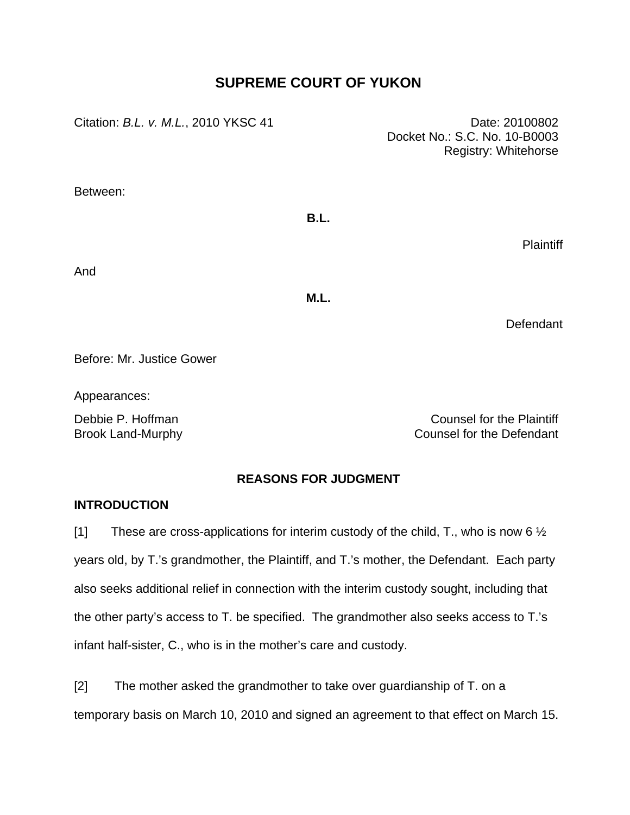# **SUPREME COURT OF YUKON**

Citation: *B.L. v. M.L.*, 2010 YKSC 41 Date: 20100802

Docket No.: S.C. No. 10-B0003 Registry: Whitehorse

Between:

# **B.L.**

Plaintiff

And

**M.L.** 

**Defendant** 

Before: Mr. Justice Gower

Appearances:

Debbie P. Hoffman Counsel for the Plaintiff Brook Land-Murphy Counsel for the Defendant

## **REASONS FOR JUDGMENT**

## **INTRODUCTION**

[1] These are cross-applications for interim custody of the child, T., who is now 6  $\frac{1}{2}$ years old, by T.'s grandmother, the Plaintiff, and T.'s mother, the Defendant. Each party also seeks additional relief in connection with the interim custody sought, including that the other party's access to T. be specified. The grandmother also seeks access to T.'s infant half-sister, C., who is in the mother's care and custody.

[2] The mother asked the grandmother to take over guardianship of T. on a temporary basis on March 10, 2010 and signed an agreement to that effect on March 15.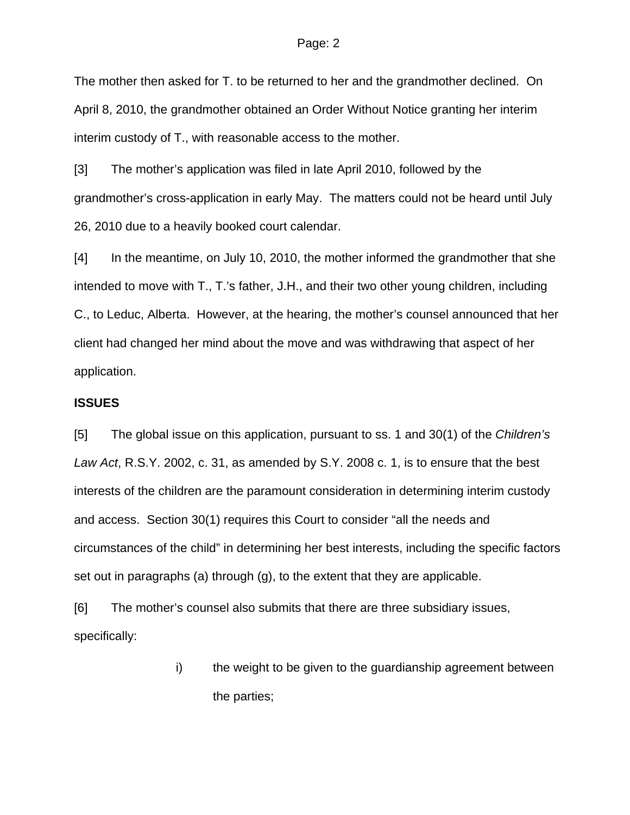The mother then asked for T. to be returned to her and the grandmother declined. On April 8, 2010, the grandmother obtained an Order Without Notice granting her interim interim custody of T., with reasonable access to the mother.

[3] The mother's application was filed in late April 2010, followed by the grandmother's cross-application in early May. The matters could not be heard until July 26, 2010 due to a heavily booked court calendar.

[4] In the meantime, on July 10, 2010, the mother informed the grandmother that she intended to move with T., T.'s father, J.H., and their two other young children, including C., to Leduc, Alberta. However, at the hearing, the mother's counsel announced that her client had changed her mind about the move and was withdrawing that aspect of her application.

### **ISSUES**

[5] The global issue on this application, pursuant to ss. 1 and 30(1) of the *Children's Law Act*, R.S.Y. 2002, c. 31, as amended by S.Y. 2008 c. 1, is to ensure that the best interests of the children are the paramount consideration in determining interim custody and access. Section 30(1) requires this Court to consider "all the needs and circumstances of the child" in determining her best interests, including the specific factors set out in paragraphs (a) through (g), to the extent that they are applicable.

[6] The mother's counsel also submits that there are three subsidiary issues, specifically:

> i) the weight to be given to the guardianship agreement between the parties;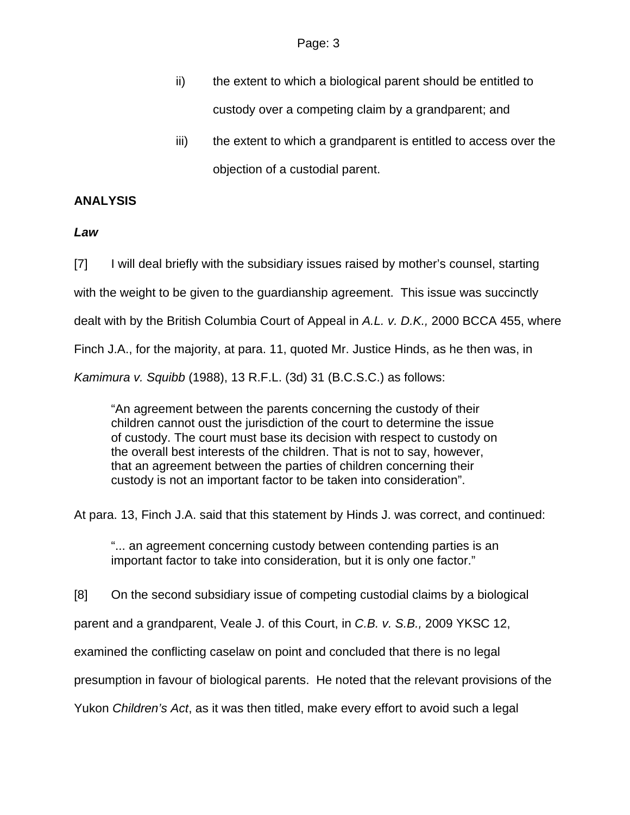- ii) the extent to which a biological parent should be entitled to custody over a competing claim by a grandparent; and
- iii) the extent to which a grandparent is entitled to access over the objection of a custodial parent.

## **ANALYSIS**

## *Law*

[7] I will deal briefly with the subsidiary issues raised by mother's counsel, starting with the weight to be given to the guardianship agreement. This issue was succinctly dealt with by the British Columbia Court of Appeal in *A.L. v. D.K.,* 2000 BCCA 455, where Finch J.A., for the majority, at para. 11, quoted Mr. Justice Hinds, as he then was, in *Kamimura v. Squibb* (1988), 13 R.F.L. (3d) 31 (B.C.S.C.) as follows:

"An agreement between the parents concerning the custody of their children cannot oust the jurisdiction of the court to determine the issue of custody. The court must base its decision with respect to custody on the overall best interests of the children. That is not to say, however, that an agreement between the parties of children concerning their custody is not an important factor to be taken into consideration".

At para. 13, Finch J.A. said that this statement by Hinds J. was correct, and continued:

"... an agreement concerning custody between contending parties is an important factor to take into consideration, but it is only one factor."

[8] On the second subsidiary issue of competing custodial claims by a biological

parent and a grandparent, Veale J. of this Court, in *C.B. v. S.B.,* 2009 YKSC 12,

examined the conflicting caselaw on point and concluded that there is no legal

presumption in favour of biological parents. He noted that the relevant provisions of the

Yukon *Children's Act*, as it was then titled, make every effort to avoid such a legal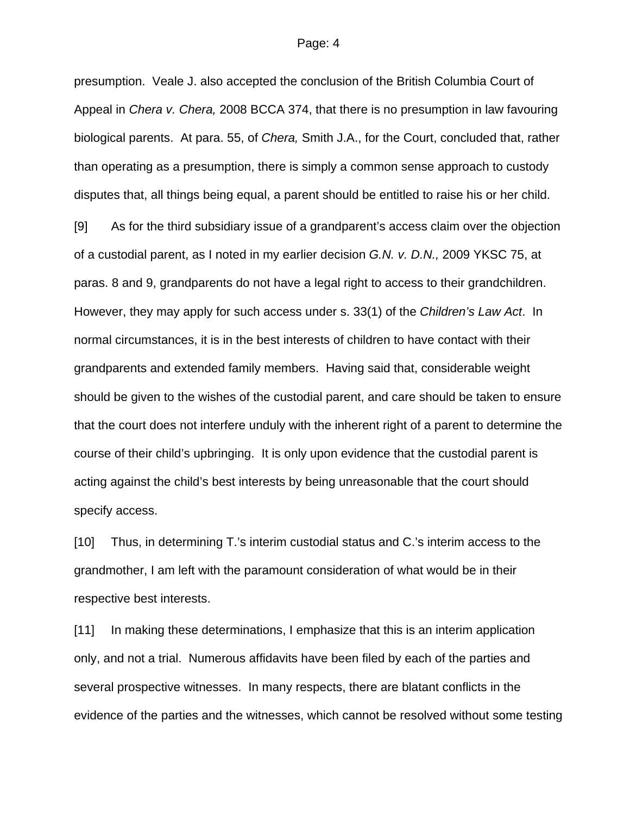presumption. Veale J. also accepted the conclusion of the British Columbia Court of Appeal in *Chera v. Chera,* 2008 BCCA 374, that there is no presumption in law favouring biological parents. At para. 55, of *Chera,* Smith J.A., for the Court, concluded that, rather than operating as a presumption, there is simply a common sense approach to custody disputes that, all things being equal, a parent should be entitled to raise his or her child.

[9] As for the third subsidiary issue of a grandparent's access claim over the objection of a custodial parent, as I noted in my earlier decision *G.N. v. D.N.,* 2009 YKSC 75, at paras. 8 and 9, grandparents do not have a legal right to access to their grandchildren. However, they may apply for such access under s. 33(1) of the *Children's Law Act*. In normal circumstances, it is in the best interests of children to have contact with their grandparents and extended family members. Having said that, considerable weight should be given to the wishes of the custodial parent, and care should be taken to ensure that the court does not interfere unduly with the inherent right of a parent to determine the course of their child's upbringing. It is only upon evidence that the custodial parent is acting against the child's best interests by being unreasonable that the court should specify access.

[10] Thus, in determining T.'s interim custodial status and C.'s interim access to the grandmother, I am left with the paramount consideration of what would be in their respective best interests.

[11] In making these determinations, I emphasize that this is an interim application only, and not a trial. Numerous affidavits have been filed by each of the parties and several prospective witnesses. In many respects, there are blatant conflicts in the evidence of the parties and the witnesses, which cannot be resolved without some testing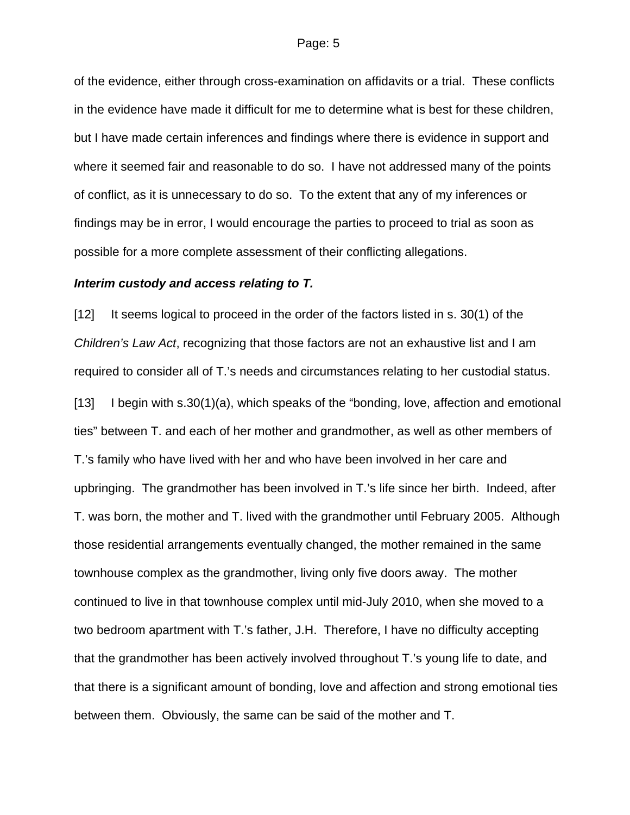of the evidence, either through cross-examination on affidavits or a trial. These conflicts in the evidence have made it difficult for me to determine what is best for these children, but I have made certain inferences and findings where there is evidence in support and where it seemed fair and reasonable to do so. I have not addressed many of the points of conflict, as it is unnecessary to do so. To the extent that any of my inferences or findings may be in error, I would encourage the parties to proceed to trial as soon as possible for a more complete assessment of their conflicting allegations.

### *Interim custody and access relating to T.*

[12] It seems logical to proceed in the order of the factors listed in s. 30(1) of the *Children's Law Act*, recognizing that those factors are not an exhaustive list and I am required to consider all of T.'s needs and circumstances relating to her custodial status. [13] I begin with s.30(1)(a), which speaks of the "bonding, love, affection and emotional ties" between T. and each of her mother and grandmother, as well as other members of T.'s family who have lived with her and who have been involved in her care and upbringing. The grandmother has been involved in T.'s life since her birth. Indeed, after T. was born, the mother and T. lived with the grandmother until February 2005. Although those residential arrangements eventually changed, the mother remained in the same townhouse complex as the grandmother, living only five doors away. The mother continued to live in that townhouse complex until mid-July 2010, when she moved to a two bedroom apartment with T.'s father, J.H. Therefore, I have no difficulty accepting that the grandmother has been actively involved throughout T.'s young life to date, and that there is a significant amount of bonding, love and affection and strong emotional ties between them. Obviously, the same can be said of the mother and T.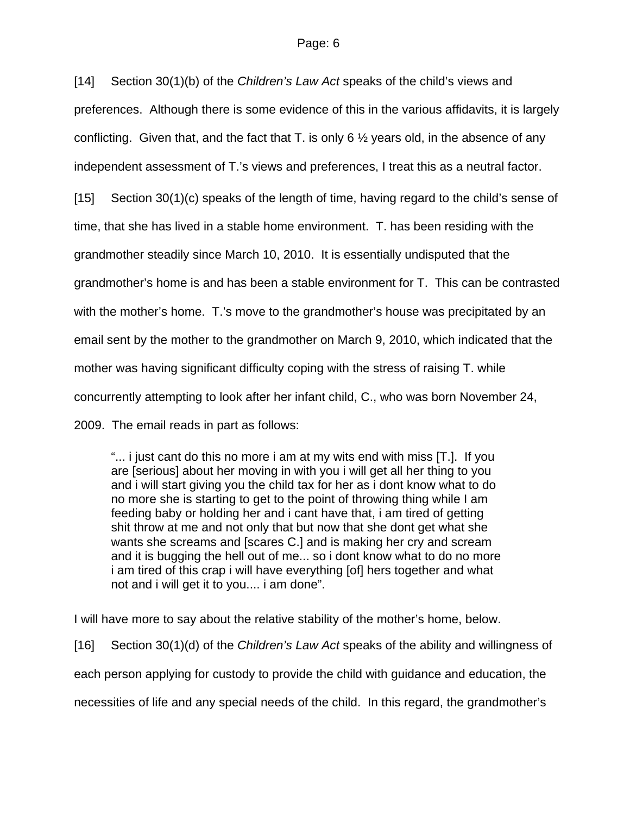[14] Section 30(1)(b) of the *Children's Law Act* speaks of the child's views and preferences. Although there is some evidence of this in the various affidavits, it is largely conflicting. Given that, and the fact that T, is only 6  $\frac{1}{2}$  years old, in the absence of any independent assessment of T.'s views and preferences, I treat this as a neutral factor.

[15] Section 30(1)(c) speaks of the length of time, having regard to the child's sense of time, that she has lived in a stable home environment. T. has been residing with the grandmother steadily since March 10, 2010. It is essentially undisputed that the grandmother's home is and has been a stable environment for T. This can be contrasted with the mother's home. T.'s move to the grandmother's house was precipitated by an email sent by the mother to the grandmother on March 9, 2010, which indicated that the mother was having significant difficulty coping with the stress of raising T. while concurrently attempting to look after her infant child, C., who was born November 24, 2009. The email reads in part as follows:

"... i just cant do this no more i am at my wits end with miss [T.]. If you are [serious] about her moving in with you i will get all her thing to you and i will start giving you the child tax for her as i dont know what to do no more she is starting to get to the point of throwing thing while I am feeding baby or holding her and i cant have that, i am tired of getting shit throw at me and not only that but now that she dont get what she wants she screams and [scares C.] and is making her cry and scream and it is bugging the hell out of me... so i dont know what to do no more i am tired of this crap i will have everything [of] hers together and what not and i will get it to you.... i am done".

I will have more to say about the relative stability of the mother's home, below.

[16] Section 30(1)(d) of the *Children's Law Act* speaks of the ability and willingness of each person applying for custody to provide the child with guidance and education, the necessities of life and any special needs of the child. In this regard, the grandmother's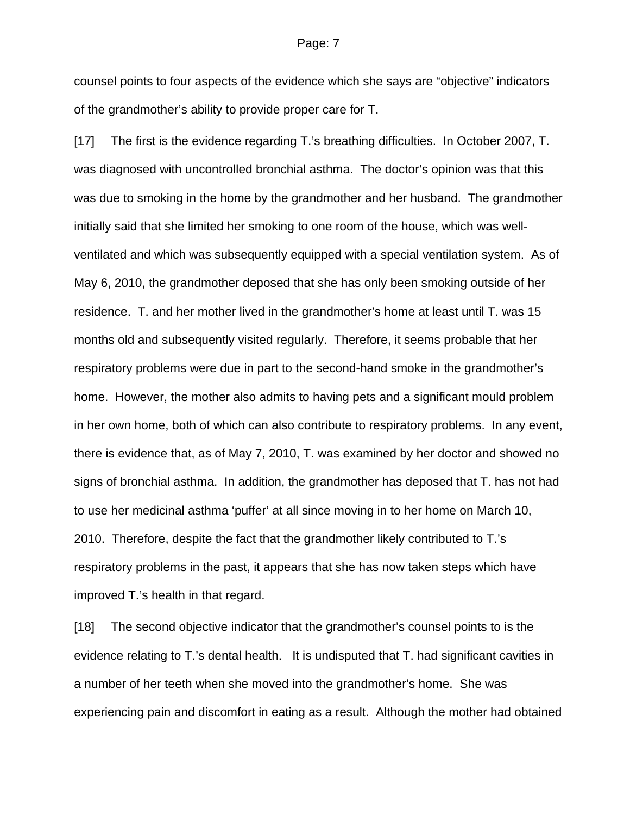counsel points to four aspects of the evidence which she says are "objective" indicators of the grandmother's ability to provide proper care for T.

[17] The first is the evidence regarding T.'s breathing difficulties. In October 2007, T. was diagnosed with uncontrolled bronchial asthma. The doctor's opinion was that this was due to smoking in the home by the grandmother and her husband. The grandmother initially said that she limited her smoking to one room of the house, which was wellventilated and which was subsequently equipped with a special ventilation system. As of May 6, 2010, the grandmother deposed that she has only been smoking outside of her residence. T. and her mother lived in the grandmother's home at least until T. was 15 months old and subsequently visited regularly. Therefore, it seems probable that her respiratory problems were due in part to the second-hand smoke in the grandmother's home. However, the mother also admits to having pets and a significant mould problem in her own home, both of which can also contribute to respiratory problems. In any event, there is evidence that, as of May 7, 2010, T. was examined by her doctor and showed no signs of bronchial asthma. In addition, the grandmother has deposed that T. has not had to use her medicinal asthma 'puffer' at all since moving in to her home on March 10, 2010. Therefore, despite the fact that the grandmother likely contributed to T.'s respiratory problems in the past, it appears that she has now taken steps which have improved T.'s health in that regard.

[18] The second objective indicator that the grandmother's counsel points to is the evidence relating to T.'s dental health. It is undisputed that T. had significant cavities in a number of her teeth when she moved into the grandmother's home. She was experiencing pain and discomfort in eating as a result. Although the mother had obtained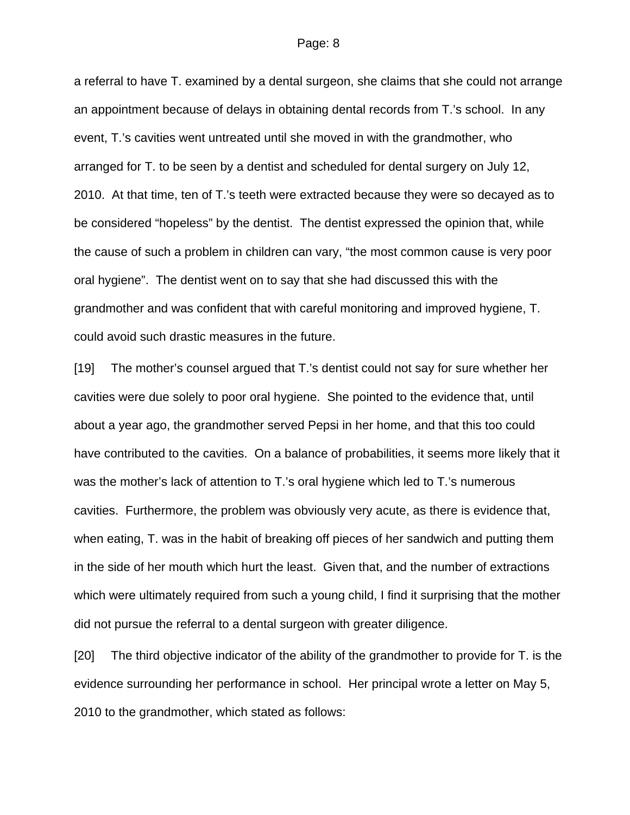a referral to have T. examined by a dental surgeon, she claims that she could not arrange an appointment because of delays in obtaining dental records from T.'s school. In any event, T.'s cavities went untreated until she moved in with the grandmother, who arranged for T. to be seen by a dentist and scheduled for dental surgery on July 12, 2010. At that time, ten of T.'s teeth were extracted because they were so decayed as to be considered "hopeless" by the dentist. The dentist expressed the opinion that, while the cause of such a problem in children can vary, "the most common cause is very poor oral hygiene". The dentist went on to say that she had discussed this with the grandmother and was confident that with careful monitoring and improved hygiene, T. could avoid such drastic measures in the future.

[19] The mother's counsel argued that T.'s dentist could not say for sure whether her cavities were due solely to poor oral hygiene. She pointed to the evidence that, until about a year ago, the grandmother served Pepsi in her home, and that this too could have contributed to the cavities. On a balance of probabilities, it seems more likely that it was the mother's lack of attention to T.'s oral hygiene which led to T.'s numerous cavities. Furthermore, the problem was obviously very acute, as there is evidence that, when eating, T. was in the habit of breaking off pieces of her sandwich and putting them in the side of her mouth which hurt the least. Given that, and the number of extractions which were ultimately required from such a young child, I find it surprising that the mother did not pursue the referral to a dental surgeon with greater diligence.

[20] The third objective indicator of the ability of the grandmother to provide for T. is the evidence surrounding her performance in school. Her principal wrote a letter on May 5, 2010 to the grandmother, which stated as follows: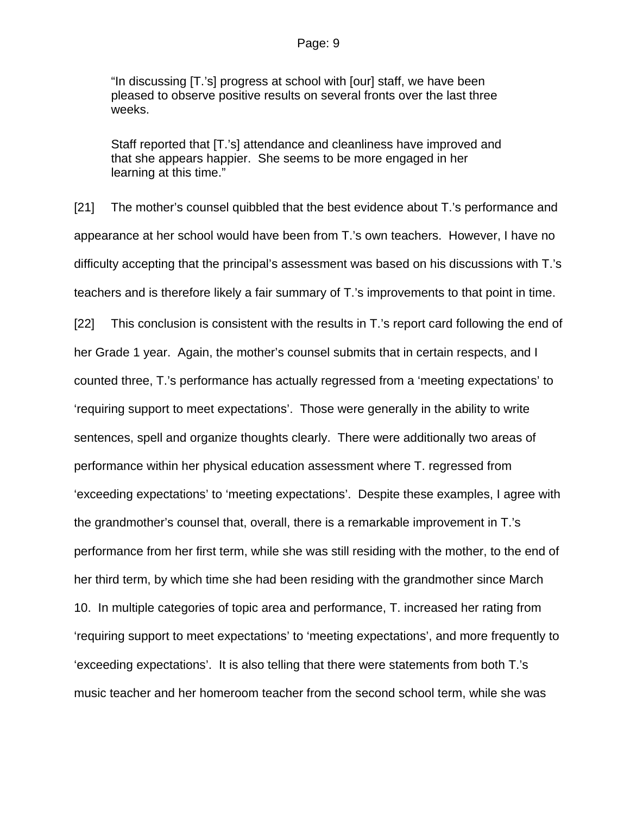"In discussing [T.'s] progress at school with [our] staff, we have been pleased to observe positive results on several fronts over the last three weeks.

Staff reported that [T.'s] attendance and cleanliness have improved and that she appears happier. She seems to be more engaged in her learning at this time."

[21] The mother's counsel quibbled that the best evidence about T.'s performance and appearance at her school would have been from T.'s own teachers. However, I have no difficulty accepting that the principal's assessment was based on his discussions with T.'s teachers and is therefore likely a fair summary of T.'s improvements to that point in time.

[22] This conclusion is consistent with the results in T.'s report card following the end of her Grade 1 year. Again, the mother's counsel submits that in certain respects, and I counted three, T.'s performance has actually regressed from a 'meeting expectations' to 'requiring support to meet expectations'. Those were generally in the ability to write sentences, spell and organize thoughts clearly. There were additionally two areas of performance within her physical education assessment where T. regressed from 'exceeding expectations' to 'meeting expectations'. Despite these examples, I agree with the grandmother's counsel that, overall, there is a remarkable improvement in T.'s performance from her first term, while she was still residing with the mother, to the end of her third term, by which time she had been residing with the grandmother since March 10. In multiple categories of topic area and performance, T. increased her rating from 'requiring support to meet expectations' to 'meeting expectations', and more frequently to 'exceeding expectations'. It is also telling that there were statements from both T.'s music teacher and her homeroom teacher from the second school term, while she was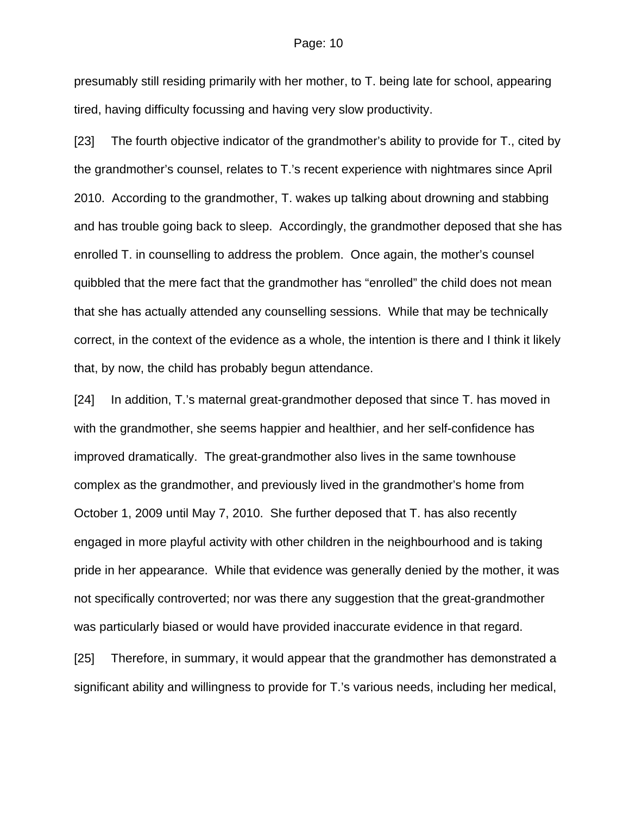presumably still residing primarily with her mother, to T. being late for school, appearing tired, having difficulty focussing and having very slow productivity.

[23] The fourth objective indicator of the grandmother's ability to provide for T., cited by the grandmother's counsel, relates to T.'s recent experience with nightmares since April 2010. According to the grandmother, T. wakes up talking about drowning and stabbing and has trouble going back to sleep. Accordingly, the grandmother deposed that she has enrolled T. in counselling to address the problem. Once again, the mother's counsel quibbled that the mere fact that the grandmother has "enrolled" the child does not mean that she has actually attended any counselling sessions. While that may be technically correct, in the context of the evidence as a whole, the intention is there and I think it likely that, by now, the child has probably begun attendance.

[24] In addition, T.'s maternal great-grandmother deposed that since T. has moved in with the grandmother, she seems happier and healthier, and her self-confidence has improved dramatically. The great-grandmother also lives in the same townhouse complex as the grandmother, and previously lived in the grandmother's home from October 1, 2009 until May 7, 2010. She further deposed that T. has also recently engaged in more playful activity with other children in the neighbourhood and is taking pride in her appearance. While that evidence was generally denied by the mother, it was not specifically controverted; nor was there any suggestion that the great-grandmother was particularly biased or would have provided inaccurate evidence in that regard.

[25] Therefore, in summary, it would appear that the grandmother has demonstrated a significant ability and willingness to provide for T.'s various needs, including her medical,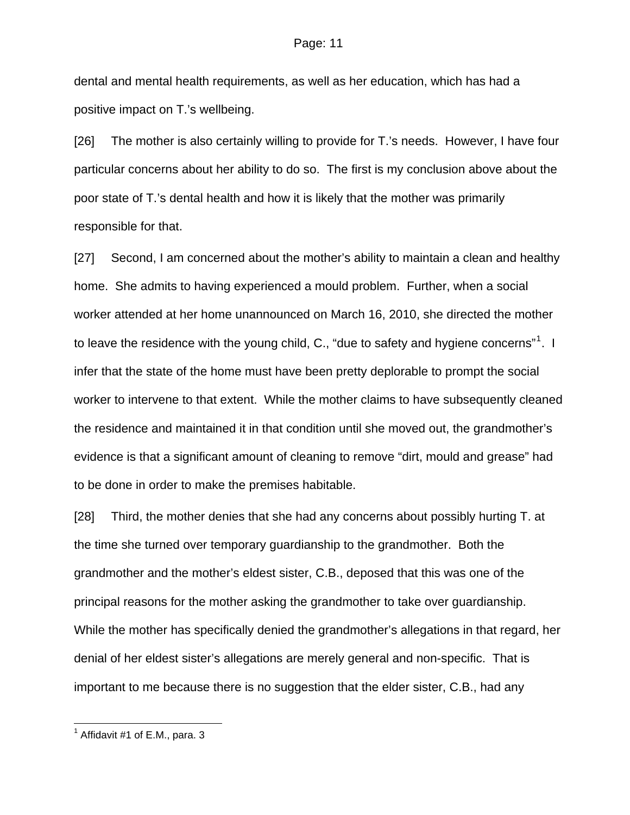dental and mental health requirements, as well as her education, which has had a positive impact on T.'s wellbeing.

[26] The mother is also certainly willing to provide for T.'s needs. However, I have four particular concerns about her ability to do so. The first is my conclusion above about the poor state of T.'s dental health and how it is likely that the mother was primarily responsible for that.

[27] Second, I am concerned about the mother's ability to maintain a clean and healthy home. She admits to having experienced a mould problem. Further, when a social worker attended at her home unannounced on March 16, 2010, she directed the mother to leave the residence with the young child, C., "due to safety and hygiene concerns"<sup>[1](#page-10-0)</sup>. I infer that the state of the home must have been pretty deplorable to prompt the social worker to intervene to that extent. While the mother claims to have subsequently cleaned the residence and maintained it in that condition until she moved out, the grandmother's evidence is that a significant amount of cleaning to remove "dirt, mould and grease" had to be done in order to make the premises habitable.

[28] Third, the mother denies that she had any concerns about possibly hurting T. at the time she turned over temporary guardianship to the grandmother. Both the grandmother and the mother's eldest sister, C.B., deposed that this was one of the principal reasons for the mother asking the grandmother to take over guardianship. While the mother has specifically denied the grandmother's allegations in that regard, her denial of her eldest sister's allegations are merely general and non-specific. That is important to me because there is no suggestion that the elder sister, C.B., had any

1

<span id="page-10-0"></span> $<sup>1</sup>$  Affidavit #1 of E.M., para. 3</sup>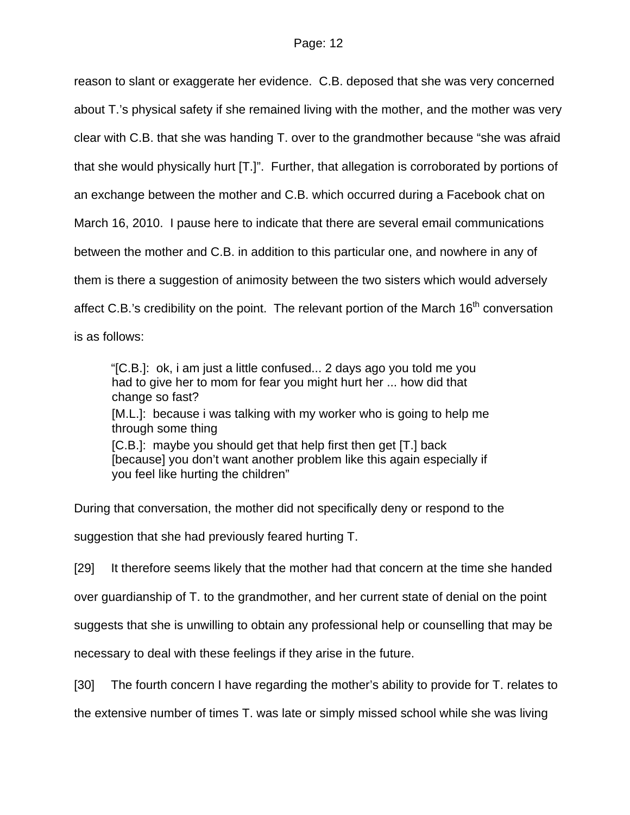reason to slant or exaggerate her evidence. C.B. deposed that she was very concerned about T.'s physical safety if she remained living with the mother, and the mother was very clear with C.B. that she was handing T. over to the grandmother because "she was afraid that she would physically hurt [T.]". Further, that allegation is corroborated by portions of an exchange between the mother and C.B. which occurred during a Facebook chat on March 16, 2010. I pause here to indicate that there are several email communications between the mother and C.B. in addition to this particular one, and nowhere in any of them is there a suggestion of animosity between the two sisters which would adversely affect C.B.'s credibility on the point. The relevant portion of the March  $16<sup>th</sup>$  conversation is as follows:

"[C.B.]: ok, i am just a little confused... 2 days ago you told me you had to give her to mom for fear you might hurt her ... how did that change so fast? [M.L.]: because i was talking with my worker who is going to help me through some thing [C.B.]: maybe you should get that help first then get [T.] back [because] you don't want another problem like this again especially if you feel like hurting the children"

During that conversation, the mother did not specifically deny or respond to the

suggestion that she had previously feared hurting T.

[29] It therefore seems likely that the mother had that concern at the time she handed

over guardianship of T. to the grandmother, and her current state of denial on the point

suggests that she is unwilling to obtain any professional help or counselling that may be

necessary to deal with these feelings if they arise in the future.

[30] The fourth concern I have regarding the mother's ability to provide for T. relates to

the extensive number of times T. was late or simply missed school while she was living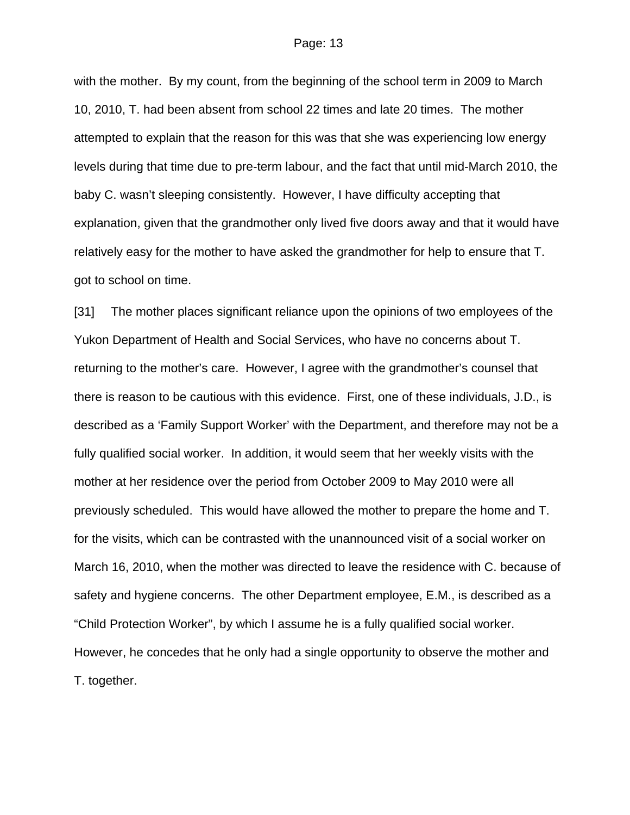with the mother. By my count, from the beginning of the school term in 2009 to March 10, 2010, T. had been absent from school 22 times and late 20 times. The mother attempted to explain that the reason for this was that she was experiencing low energy levels during that time due to pre-term labour, and the fact that until mid-March 2010, the baby C. wasn't sleeping consistently. However, I have difficulty accepting that explanation, given that the grandmother only lived five doors away and that it would have relatively easy for the mother to have asked the grandmother for help to ensure that T. got to school on time.

[31] The mother places significant reliance upon the opinions of two employees of the Yukon Department of Health and Social Services, who have no concerns about T. returning to the mother's care. However, I agree with the grandmother's counsel that there is reason to be cautious with this evidence. First, one of these individuals, J.D., is described as a 'Family Support Worker' with the Department, and therefore may not be a fully qualified social worker. In addition, it would seem that her weekly visits with the mother at her residence over the period from October 2009 to May 2010 were all previously scheduled. This would have allowed the mother to prepare the home and T. for the visits, which can be contrasted with the unannounced visit of a social worker on March 16, 2010, when the mother was directed to leave the residence with C. because of safety and hygiene concerns. The other Department employee, E.M., is described as a "Child Protection Worker", by which I assume he is a fully qualified social worker. However, he concedes that he only had a single opportunity to observe the mother and T. together.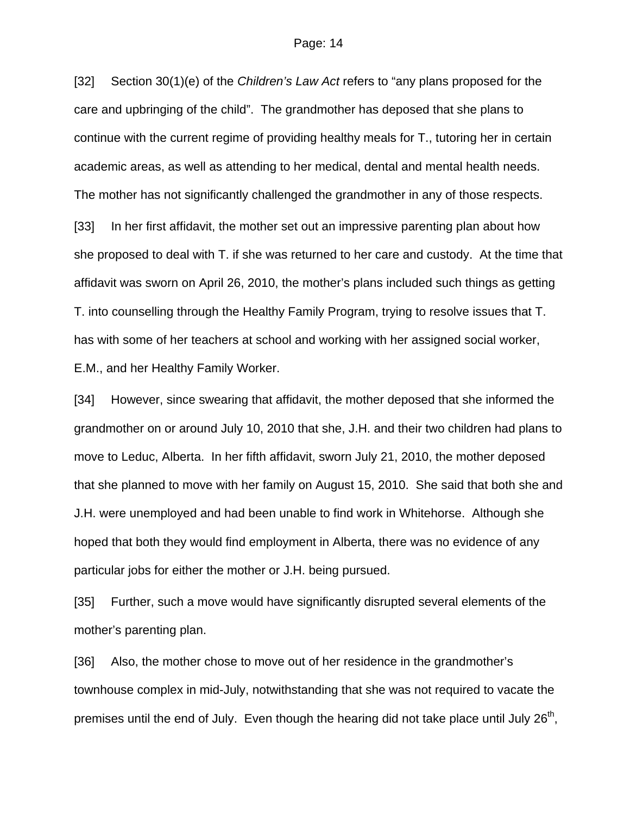[32] Section 30(1)(e) of the *Children's Law Act* refers to "any plans proposed for the care and upbringing of the child". The grandmother has deposed that she plans to continue with the current regime of providing healthy meals for T., tutoring her in certain academic areas, as well as attending to her medical, dental and mental health needs. The mother has not significantly challenged the grandmother in any of those respects.

[33] In her first affidavit, the mother set out an impressive parenting plan about how she proposed to deal with T. if she was returned to her care and custody. At the time that affidavit was sworn on April 26, 2010, the mother's plans included such things as getting T. into counselling through the Healthy Family Program, trying to resolve issues that T. has with some of her teachers at school and working with her assigned social worker, E.M., and her Healthy Family Worker.

[34] However, since swearing that affidavit, the mother deposed that she informed the grandmother on or around July 10, 2010 that she, J.H. and their two children had plans to move to Leduc, Alberta. In her fifth affidavit, sworn July 21, 2010, the mother deposed that she planned to move with her family on August 15, 2010. She said that both she and J.H. were unemployed and had been unable to find work in Whitehorse. Although she hoped that both they would find employment in Alberta, there was no evidence of any particular jobs for either the mother or J.H. being pursued.

[35] Further, such a move would have significantly disrupted several elements of the mother's parenting plan.

[36] Also, the mother chose to move out of her residence in the grandmother's townhouse complex in mid-July, notwithstanding that she was not required to vacate the premises until the end of July. Even though the hearing did not take place until July  $26<sup>th</sup>$ ,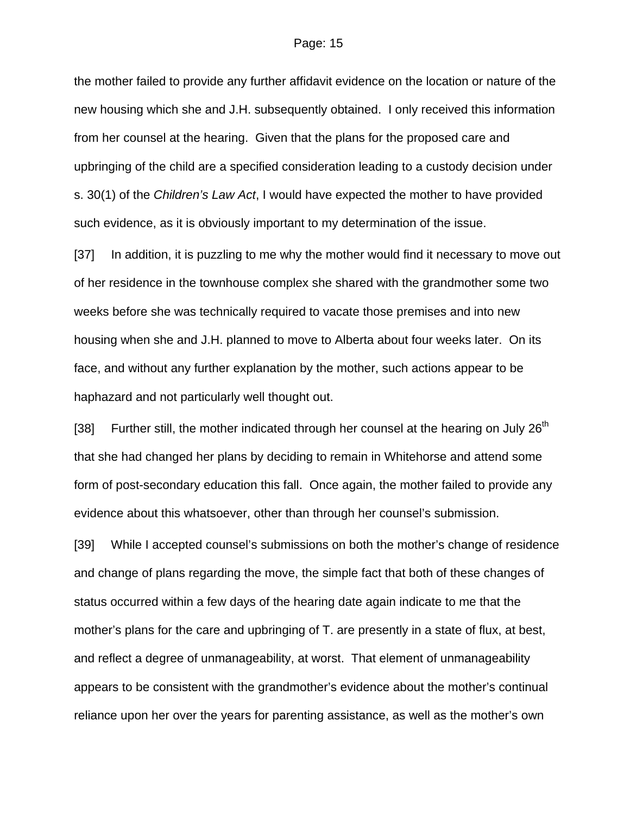the mother failed to provide any further affidavit evidence on the location or nature of the new housing which she and J.H. subsequently obtained. I only received this information from her counsel at the hearing. Given that the plans for the proposed care and upbringing of the child are a specified consideration leading to a custody decision under s. 30(1) of the *Children's Law Act*, I would have expected the mother to have provided such evidence, as it is obviously important to my determination of the issue.

[37] In addition, it is puzzling to me why the mother would find it necessary to move out of her residence in the townhouse complex she shared with the grandmother some two weeks before she was technically required to vacate those premises and into new housing when she and J.H. planned to move to Alberta about four weeks later. On its face, and without any further explanation by the mother, such actions appear to be haphazard and not particularly well thought out.

[38] Further still, the mother indicated through her counsel at the hearing on July  $26<sup>th</sup>$ that she had changed her plans by deciding to remain in Whitehorse and attend some form of post-secondary education this fall. Once again, the mother failed to provide any evidence about this whatsoever, other than through her counsel's submission.

[39] While I accepted counsel's submissions on both the mother's change of residence and change of plans regarding the move, the simple fact that both of these changes of status occurred within a few days of the hearing date again indicate to me that the mother's plans for the care and upbringing of T. are presently in a state of flux, at best, and reflect a degree of unmanageability, at worst. That element of unmanageability appears to be consistent with the grandmother's evidence about the mother's continual reliance upon her over the years for parenting assistance, as well as the mother's own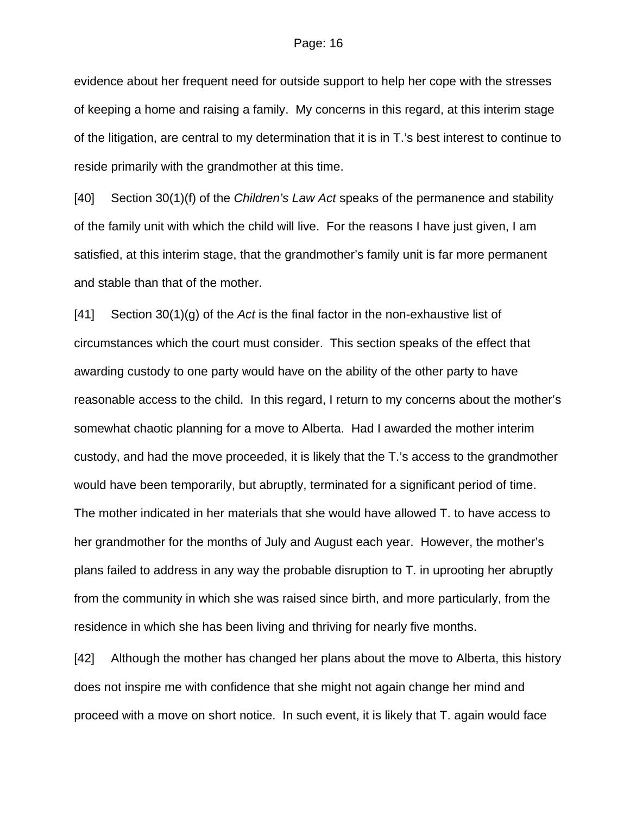evidence about her frequent need for outside support to help her cope with the stresses of keeping a home and raising a family. My concerns in this regard, at this interim stage of the litigation, are central to my determination that it is in T.'s best interest to continue to reside primarily with the grandmother at this time.

[40] Section 30(1)(f) of the *Children's Law Act* speaks of the permanence and stability of the family unit with which the child will live. For the reasons I have just given, I am satisfied, at this interim stage, that the grandmother's family unit is far more permanent and stable than that of the mother.

[41] Section 30(1)(g) of the *Act* is the final factor in the non-exhaustive list of circumstances which the court must consider. This section speaks of the effect that awarding custody to one party would have on the ability of the other party to have reasonable access to the child. In this regard, I return to my concerns about the mother's somewhat chaotic planning for a move to Alberta. Had I awarded the mother interim custody, and had the move proceeded, it is likely that the T.'s access to the grandmother would have been temporarily, but abruptly, terminated for a significant period of time. The mother indicated in her materials that she would have allowed T. to have access to her grandmother for the months of July and August each year. However, the mother's plans failed to address in any way the probable disruption to T. in uprooting her abruptly from the community in which she was raised since birth, and more particularly, from the residence in which she has been living and thriving for nearly five months.

[42] Although the mother has changed her plans about the move to Alberta, this history does not inspire me with confidence that she might not again change her mind and proceed with a move on short notice. In such event, it is likely that T. again would face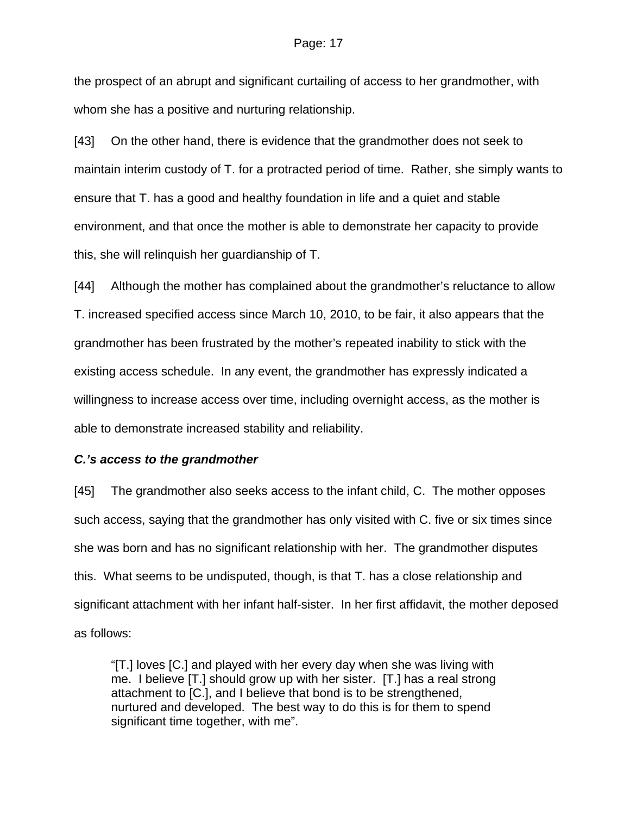the prospect of an abrupt and significant curtailing of access to her grandmother, with whom she has a positive and nurturing relationship.

[43] On the other hand, there is evidence that the grandmother does not seek to maintain interim custody of T. for a protracted period of time. Rather, she simply wants to ensure that T. has a good and healthy foundation in life and a quiet and stable environment, and that once the mother is able to demonstrate her capacity to provide this, she will relinquish her guardianship of T.

[44] Although the mother has complained about the grandmother's reluctance to allow T. increased specified access since March 10, 2010, to be fair, it also appears that the grandmother has been frustrated by the mother's repeated inability to stick with the existing access schedule. In any event, the grandmother has expressly indicated a willingness to increase access over time, including overnight access, as the mother is able to demonstrate increased stability and reliability.

## *C.'s access to the grandmother*

[45] The grandmother also seeks access to the infant child, C. The mother opposes such access, saying that the grandmother has only visited with C. five or six times since she was born and has no significant relationship with her. The grandmother disputes this. What seems to be undisputed, though, is that T. has a close relationship and significant attachment with her infant half-sister. In her first affidavit, the mother deposed as follows:

"[T.] loves [C.] and played with her every day when she was living with me. I believe [T.] should grow up with her sister. [T.] has a real strong attachment to [C.], and I believe that bond is to be strengthened, nurtured and developed. The best way to do this is for them to spend significant time together, with me".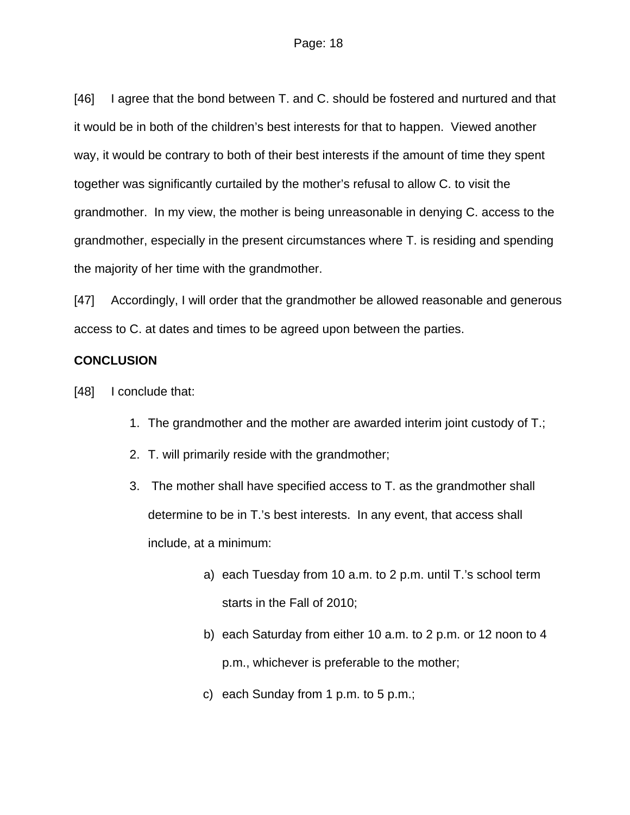[46] I agree that the bond between T. and C. should be fostered and nurtured and that it would be in both of the children's best interests for that to happen. Viewed another way, it would be contrary to both of their best interests if the amount of time they spent together was significantly curtailed by the mother's refusal to allow C. to visit the grandmother. In my view, the mother is being unreasonable in denying C. access to the grandmother, especially in the present circumstances where T. is residing and spending the majority of her time with the grandmother.

[47] Accordingly, I will order that the grandmother be allowed reasonable and generous access to C. at dates and times to be agreed upon between the parties.

## **CONCLUSION**

[48] I conclude that:

- 1. The grandmother and the mother are awarded interim joint custody of T.;
- 2. T. will primarily reside with the grandmother;
- 3. The mother shall have specified access to T. as the grandmother shall determine to be in T.'s best interests. In any event, that access shall include, at a minimum:
	- a) each Tuesday from 10 a.m. to 2 p.m. until T.'s school term starts in the Fall of 2010;
	- b) each Saturday from either 10 a.m. to 2 p.m. or 12 noon to 4 p.m., whichever is preferable to the mother;
	- c) each Sunday from 1 p.m. to 5 p.m.;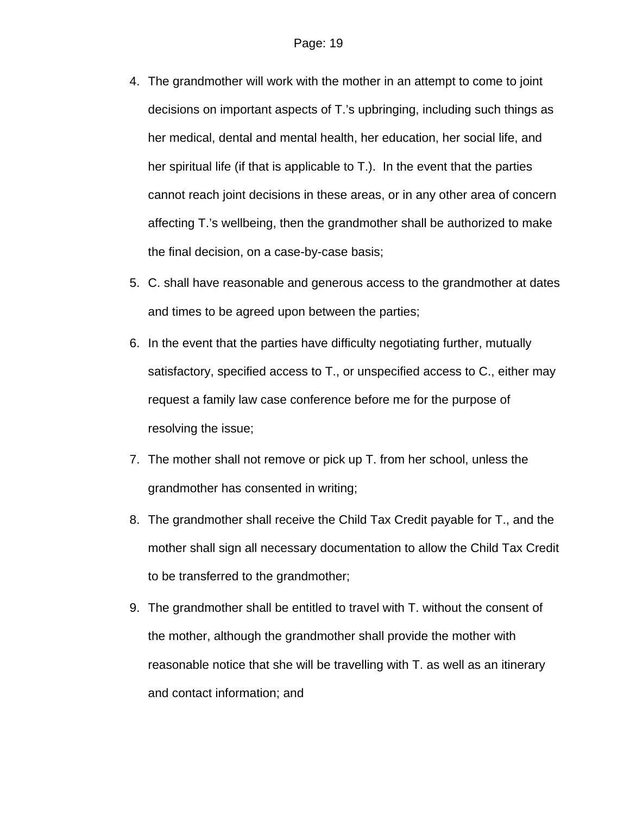- 4. The grandmother will work with the mother in an attempt to come to joint decisions on important aspects of T.'s upbringing, including such things as her medical, dental and mental health, her education, her social life, and her spiritual life (if that is applicable to T.). In the event that the parties cannot reach joint decisions in these areas, or in any other area of concern affecting T.'s wellbeing, then the grandmother shall be authorized to make the final decision, on a case-by-case basis;
- 5. C. shall have reasonable and generous access to the grandmother at dates and times to be agreed upon between the parties;
- 6. In the event that the parties have difficulty negotiating further, mutually satisfactory, specified access to T., or unspecified access to C., either may request a family law case conference before me for the purpose of resolving the issue;
- 7. The mother shall not remove or pick up T. from her school, unless the grandmother has consented in writing;
- 8. The grandmother shall receive the Child Tax Credit payable for T., and the mother shall sign all necessary documentation to allow the Child Tax Credit to be transferred to the grandmother;
- 9. The grandmother shall be entitled to travel with T. without the consent of the mother, although the grandmother shall provide the mother with reasonable notice that she will be travelling with T. as well as an itinerary and contact information; and